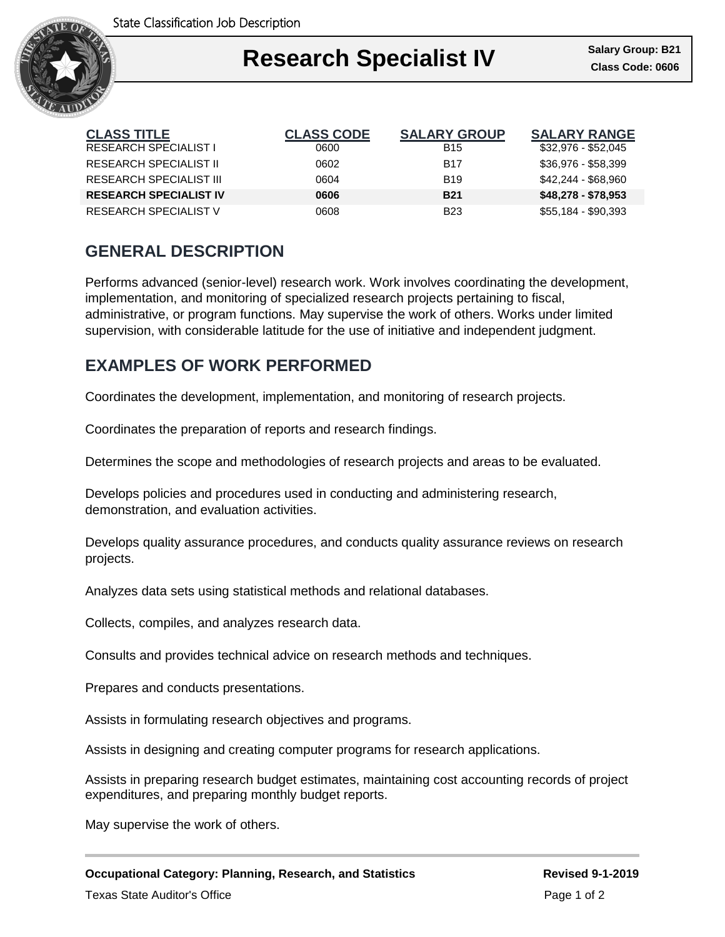

### Ι **Research Specialist IV Class Code: 0606**

| <b>CLASS TITLE</b>            | <b>CLASS CODE</b> | <b>SALARY GROUP</b> | <b>SALARY RANGE</b> |
|-------------------------------|-------------------|---------------------|---------------------|
| <b>RESEARCH SPECIALIST I</b>  | 0600              | <b>B15</b>          | \$32,976 - \$52,045 |
| <b>RESEARCH SPECIALIST II</b> | 0602              | B <sub>17</sub>     | \$36,976 - \$58,399 |
| RESEARCH SPECIALIST III       | 0604              | <b>B</b> 19         | \$42,244 - \$68,960 |
| <b>RESEARCH SPECIALIST IV</b> | 0606              | <b>B21</b>          | \$48,278 - \$78,953 |
| RESEARCH SPECIALIST V         | 8060              | <b>B23</b>          | $$55,184 - $90,393$ |

# **GENERAL DESCRIPTION**

Performs advanced (senior-level) research work. Work involves coordinating the development, implementation, and monitoring of specialized research projects pertaining to fiscal, administrative, or program functions. May supervise the work of others. Works under limited supervision, with considerable latitude for the use of initiative and independent judgment.

## **EXAMPLES OF WORK PERFORMED**

Coordinates the development, implementation, and monitoring of research projects.

Coordinates the preparation of reports and research findings.

Determines the scope and methodologies of research projects and areas to be evaluated.

Develops policies and procedures used in conducting and administering research, demonstration, and evaluation activities.

Develops quality assurance procedures, and conducts quality assurance reviews on research projects.

Analyzes data sets using statistical methods and relational databases.

Collects, compiles, and analyzes research data.

Consults and provides technical advice on research methods and techniques.

Prepares and conducts presentations.

Assists in formulating research objectives and programs.

Assists in designing and creating computer programs for research applications.

Assists in preparing research budget estimates, maintaining cost accounting records of project expenditures, and preparing monthly budget reports.

May supervise the work of others.